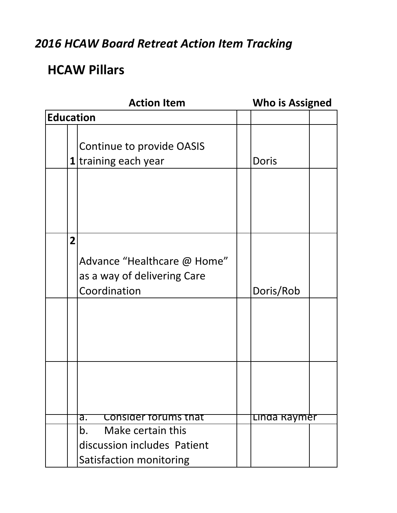### *2016 HCAW Board Retreat Action Item Tracking*

## **HCAW Pillars**

|                  |                | <b>Action Item</b>                                                         | <b>Who is Assigned</b> |  |
|------------------|----------------|----------------------------------------------------------------------------|------------------------|--|
| <b>Education</b> |                |                                                                            |                        |  |
|                  |                | Continue to provide OASIS<br>1 training each year                          | Doris                  |  |
|                  | $\overline{2}$ | Advance "Healthcare @ Home"<br>as a way of delivering Care<br>Coordination | Doris/Rob              |  |
|                  |                | Consider forums that<br>а.<br>Make certain this<br>b.                      | Linda Raymer           |  |
|                  |                | discussion includes Patient<br>Satisfaction monitoring                     |                        |  |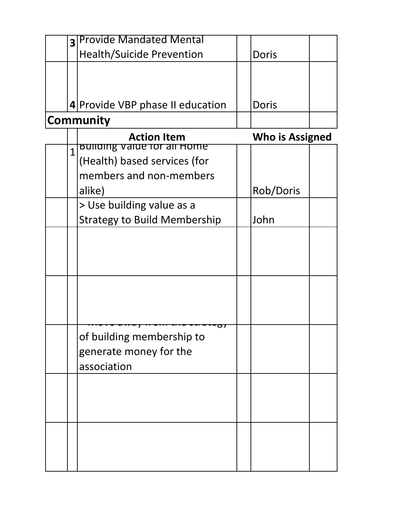| $\overline{\mathbf{3}}$ | <b>Provide Mandated Mental</b>                           |                        |  |
|-------------------------|----------------------------------------------------------|------------------------|--|
|                         | <b>Health/Suicide Prevention</b>                         | <b>Doris</b>           |  |
|                         |                                                          |                        |  |
|                         |                                                          |                        |  |
|                         | 4 Provide VBP phase II education                         | Doris                  |  |
|                         | <b>Community</b>                                         |                        |  |
|                         |                                                          |                        |  |
|                         | <b>Action Item</b><br><b>Bullding value for all Home</b> | <b>Who is Assigned</b> |  |
| $\overline{1}$          | (Health) based services (for                             |                        |  |
|                         | members and non-members                                  |                        |  |
|                         | alike)                                                   | Rob/Doris              |  |
|                         | > Use building value as a                                |                        |  |
|                         | <b>Strategy to Build Membership</b>                      | John                   |  |
|                         |                                                          |                        |  |
|                         |                                                          |                        |  |
|                         |                                                          |                        |  |
|                         |                                                          |                        |  |
|                         |                                                          |                        |  |
|                         |                                                          |                        |  |
|                         | ਾ                                                        |                        |  |
|                         | of building membership to                                |                        |  |
|                         | generate money for the                                   |                        |  |
|                         | association                                              |                        |  |
|                         |                                                          |                        |  |
|                         |                                                          |                        |  |
|                         |                                                          |                        |  |
|                         |                                                          |                        |  |
|                         |                                                          |                        |  |
|                         |                                                          |                        |  |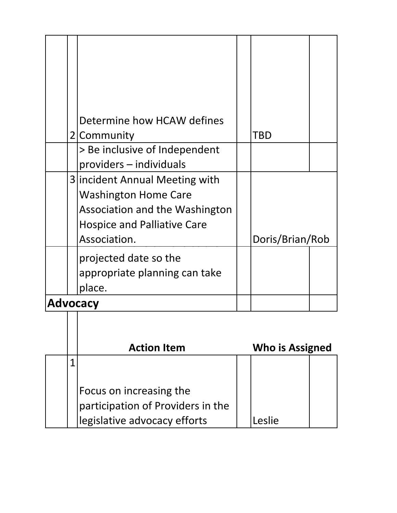|  | Determine how HCAW defines         |                 |  |
|--|------------------------------------|-----------------|--|
|  | 2 Community                        | TBD             |  |
|  | > Be inclusive of Independent      |                 |  |
|  | providers - individuals            |                 |  |
|  | 3   incident Annual Meeting with   |                 |  |
|  | <b>Washington Home Care</b>        |                 |  |
|  | Association and the Washington     |                 |  |
|  | <b>Hospice and Palliative Care</b> |                 |  |
|  | Association.                       | Doris/Brian/Rob |  |
|  | projected date so the              |                 |  |
|  | appropriate planning can take      |                 |  |
|  | place.                             |                 |  |
|  | <b>Advocacy</b>                    |                 |  |

|  | <b>Action Item</b>                                           | <b>Who is Assigned</b> |  |
|--|--------------------------------------------------------------|------------------------|--|
|  |                                                              |                        |  |
|  | Focus on increasing the<br>participation of Providers in the |                        |  |
|  | legislative advocacy efforts                                 | eslie                  |  |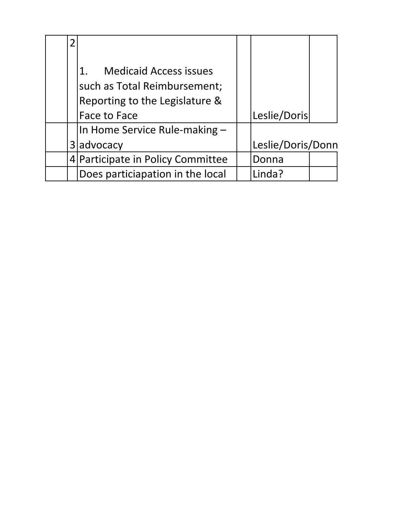| 2              |                                     |                   |  |
|----------------|-------------------------------------|-------------------|--|
|                |                                     |                   |  |
|                | <b>Medicaid Access issues</b><br>1. |                   |  |
|                | such as Total Reimbursement;        |                   |  |
|                | Reporting to the Legislature &      |                   |  |
|                | Face to Face                        | Leslie/Doris      |  |
|                | In Home Service Rule-making -       |                   |  |
| 3 <sup>1</sup> | advocacy                            | Leslie/Doris/Donn |  |
|                | 4 Participate in Policy Committee   | Donna             |  |
|                | Does particiapation in the local    | Linda?            |  |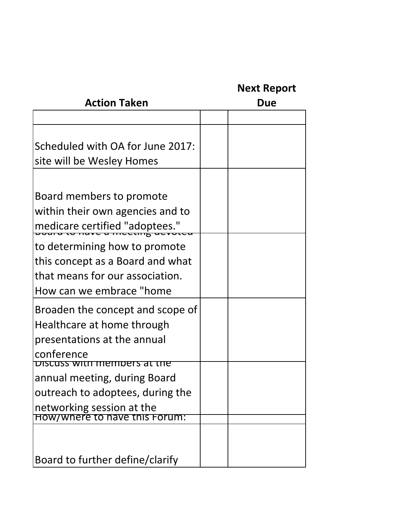# **Next Report**

| <b>Action Taken</b>                                                                                                              | Due |
|----------------------------------------------------------------------------------------------------------------------------------|-----|
|                                                                                                                                  |     |
| Scheduled with OA for June 2017:<br>site will be Wesley Homes                                                                    |     |
|                                                                                                                                  |     |
| Board members to promote<br>within their own agencies and to<br>medicare certified "adoptees."                                   |     |
| to determining how to promote<br>this concept as a Board and what<br>that means for our association.<br>How can we embrace "home |     |
| Broaden the concept and scope of<br>Healthcare at home through<br>presentations at the annual<br>conference                      |     |
| <u>.n members at the </u><br>annual meeting, during Board<br>outreach to adoptees, during the<br>networking session at the       |     |
| How/where to have this Forum:                                                                                                    |     |
| Board to further define/clarify                                                                                                  |     |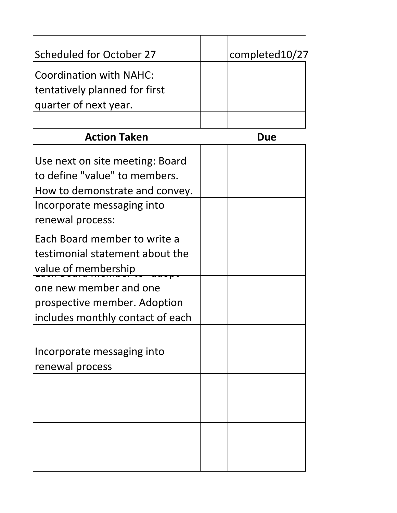| Scheduled for October 27         | completed10/27 |
|----------------------------------|----------------|
| <b>Coordination with NAHC:</b>   |                |
| tentatively planned for first    |                |
| quarter of next year.            |                |
|                                  |                |
| <b>Action Taken</b>              | Due            |
| Use next on site meeting: Board  |                |
| to define "value" to members.    |                |
| How to demonstrate and convey.   |                |
| Incorporate messaging into       |                |
| renewal process:                 |                |
| Each Board member to write a     |                |
| testimonial statement about the  |                |
| value of membership              |                |
| one new member and one           |                |
| prospective member. Adoption     |                |
| includes monthly contact of each |                |
|                                  |                |
| Incorporate messaging into       |                |
| renewal process                  |                |
|                                  |                |
|                                  |                |
|                                  |                |
|                                  |                |
|                                  |                |
|                                  |                |
|                                  |                |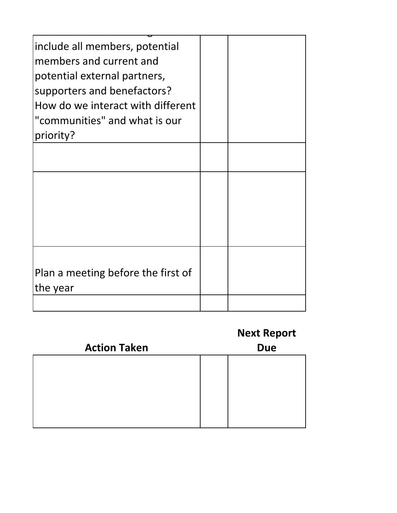| include all members, potential<br>members and current and<br>potential external partners,<br>supporters and benefactors?<br>How do we interact with different<br>"communities" and what is our<br>priority? |  |
|-------------------------------------------------------------------------------------------------------------------------------------------------------------------------------------------------------------|--|
|                                                                                                                                                                                                             |  |
|                                                                                                                                                                                                             |  |
|                                                                                                                                                                                                             |  |
| Plan a meeting before the first of<br>the year                                                                                                                                                              |  |
|                                                                                                                                                                                                             |  |

|                     | <b>Next Report</b> |
|---------------------|--------------------|
| <b>Action Taken</b> | <b>Due</b>         |
|                     |                    |
|                     |                    |
|                     |                    |
|                     |                    |
|                     |                    |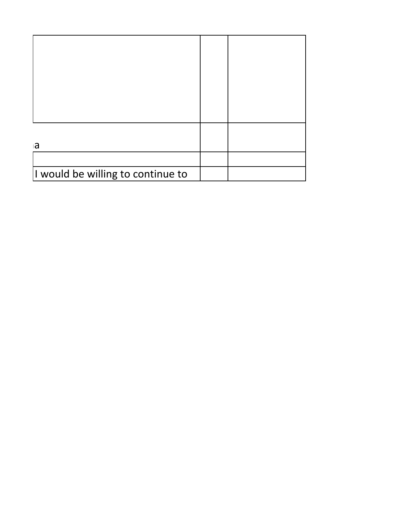| a                                 |  |
|-----------------------------------|--|
|                                   |  |
| I would be willing to continue to |  |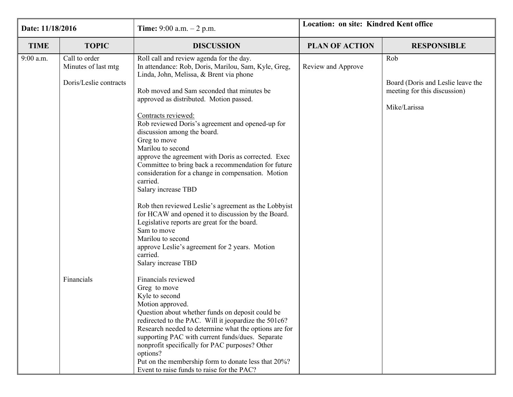| Date: 11/18/2016 |                                                                | <b>Time:</b> 9:00 a.m. $- 2$ p.m.                                                                                                                                                                                                                                                                                                                                                                                                                                                                                                                                                                                                                                                                                                                                                                                                                                                 | Location: on site: Kindred Kent office |                                                                                          |  |
|------------------|----------------------------------------------------------------|-----------------------------------------------------------------------------------------------------------------------------------------------------------------------------------------------------------------------------------------------------------------------------------------------------------------------------------------------------------------------------------------------------------------------------------------------------------------------------------------------------------------------------------------------------------------------------------------------------------------------------------------------------------------------------------------------------------------------------------------------------------------------------------------------------------------------------------------------------------------------------------|----------------------------------------|------------------------------------------------------------------------------------------|--|
| <b>TIME</b>      | <b>TOPIC</b>                                                   | <b>DISCUSSION</b>                                                                                                                                                                                                                                                                                                                                                                                                                                                                                                                                                                                                                                                                                                                                                                                                                                                                 | <b>PLAN OF ACTION</b>                  | <b>RESPONSIBLE</b>                                                                       |  |
| $9:00$ a.m.      | Call to order<br>Minutes of last mtg<br>Doris/Leslie contracts | Roll call and review agenda for the day.<br>In attendance: Rob, Doris, Marilou, Sam, Kyle, Greg,<br>Linda, John, Melissa, & Brent via phone<br>Rob moved and Sam seconded that minutes be<br>approved as distributed. Motion passed.<br>Contracts reviewed:<br>Rob reviewed Doris's agreement and opened-up for<br>discussion among the board.<br>Greg to move<br>Marilou to second<br>approve the agreement with Doris as corrected. Exec<br>Committee to bring back a recommendation for future<br>consideration for a change in compensation. Motion<br>carried.<br>Salary increase TBD<br>Rob then reviewed Leslie's agreement as the Lobbyist<br>for HCAW and opened it to discussion by the Board.<br>Legislative reports are great for the board.<br>Sam to move<br>Marilou to second<br>approve Leslie's agreement for 2 years. Motion<br>carried.<br>Salary increase TBD | Review and Approve                     | Rob<br>Board (Doris and Leslie leave the<br>meeting for this discussion)<br>Mike/Larissa |  |
|                  | Financials                                                     | Financials reviewed<br>Greg to move<br>Kyle to second<br>Motion approved.<br>Question about whether funds on deposit could be<br>redirected to the PAC. Will it jeopardize the 501c6?<br>Research needed to determine what the options are for<br>supporting PAC with current funds/dues. Separate<br>nonprofit specifically for PAC purposes? Other<br>options?<br>Put on the membership form to donate less that 20%?<br>Event to raise funds to raise for the PAC?                                                                                                                                                                                                                                                                                                                                                                                                             |                                        |                                                                                          |  |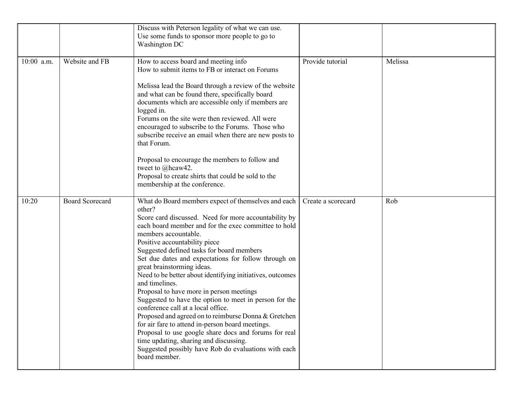|              |                        | Discuss with Peterson legality of what we can use.<br>Use some funds to sponsor more people to go to<br>Washington DC                                                                                                                                                                                                                                                                                                                                                                                                                                                                                                                                                                                                                                                                                                                                                                         |                    |         |
|--------------|------------------------|-----------------------------------------------------------------------------------------------------------------------------------------------------------------------------------------------------------------------------------------------------------------------------------------------------------------------------------------------------------------------------------------------------------------------------------------------------------------------------------------------------------------------------------------------------------------------------------------------------------------------------------------------------------------------------------------------------------------------------------------------------------------------------------------------------------------------------------------------------------------------------------------------|--------------------|---------|
| $10:00$ a.m. | Website and FB         | How to access board and meeting info<br>How to submit items to FB or interact on Forums<br>Melissa lead the Board through a review of the website<br>and what can be found there, specifically board<br>documents which are accessible only if members are<br>logged in.<br>Forums on the site were then reviewed. All were<br>encouraged to subscribe to the Forums. Those who<br>subscribe receive an email when there are new posts to<br>that Forum.<br>Proposal to encourage the members to follow and<br>tweet to @hcaw42.<br>Proposal to create shirts that could be sold to the<br>membership at the conference.                                                                                                                                                                                                                                                                      | Provide tutorial   | Melissa |
| 10:20        | <b>Board Scorecard</b> | What do Board members expect of themselves and each<br>other?<br>Score card discussed. Need for more accountability by<br>each board member and for the exec committee to hold<br>members accountable.<br>Positive accountability piece<br>Suggested defined tasks for board members<br>Set due dates and expectations for follow through on<br>great brainstorming ideas.<br>Need to be better about identifying initiatives, outcomes<br>and timelines.<br>Proposal to have more in person meetings<br>Suggested to have the option to meet in person for the<br>conference call at a local office.<br>Proposed and agreed on to reimburse Donna & Gretchen<br>for air fare to attend in-person board meetings.<br>Proposal to use google share docs and forums for real<br>time updating, sharing and discussing.<br>Suggested possibly have Rob do evaluations with each<br>board member. | Create a scorecard | Rob     |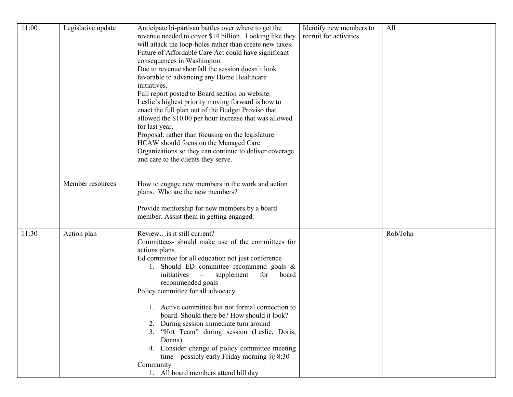| 11:00 | Legislative update | Anticipate bi-partisan battles over where to get the                                                                | Identify new members to | All      |
|-------|--------------------|---------------------------------------------------------------------------------------------------------------------|-------------------------|----------|
|       |                    | revenue needed to cover \$14 billion. Looking like they<br>will attack the loop-holes rather than create new taxes. | recruit for activities  |          |
|       |                    | Future of Affordable Care Act could have significant                                                                |                         |          |
|       |                    | consequences in Washington.                                                                                         |                         |          |
|       |                    | Due to revenue shortfall the session doesn't look                                                                   |                         |          |
|       |                    | favorable to advancing any Home Healthcare<br>initiatives.                                                          |                         |          |
|       |                    | Full report posted to Board section on website.                                                                     |                         |          |
|       |                    | Leslie's highest priority moving forward is how to                                                                  |                         |          |
|       |                    | enact the full plan out of the Budget Proviso that                                                                  |                         |          |
|       |                    | allowed the \$10.00 per hour increase that was allowed<br>for last year.                                            |                         |          |
|       |                    | Proposal: rather than focusing on the legislature                                                                   |                         |          |
|       |                    | HCAW should focus on the Managed Care                                                                               |                         |          |
|       |                    | Organizations so they can continue to deliver coverage                                                              |                         |          |
|       |                    | and care to the clients they serve.                                                                                 |                         |          |
|       |                    |                                                                                                                     |                         |          |
|       | Member resources   | How to engage new members in the work and action                                                                    |                         |          |
|       |                    | plans. Who are the new members?                                                                                     |                         |          |
|       |                    | Provide mentorship for new members by a board                                                                       |                         |          |
|       |                    | member. Assist them in getting engaged.                                                                             |                         |          |
| 11:30 | Action plan        | Reviewis it still current?                                                                                          |                         | Rob/John |
|       |                    | Committees- should make use of the committees for                                                                   |                         |          |
|       |                    | actions plans.                                                                                                      |                         |          |
|       |                    | Ed committee for all education not just conference<br>1. Should ED committee recommend goals &                      |                         |          |
|       |                    | initiatives<br>supplement<br>for<br>board<br>$\overline{\phantom{a}}$                                               |                         |          |
|       |                    | recommended goals                                                                                                   |                         |          |
|       |                    | Policy committee for all advocacy                                                                                   |                         |          |
|       |                    | 1. Active committee but not formal connection to                                                                    |                         |          |
|       |                    | board. Should there be? How should it look?                                                                         |                         |          |
|       |                    | During session immediate turn around                                                                                |                         |          |
|       |                    | 3. "Hot Team" during session (Leslie, Doris,<br>Donna)                                                              |                         |          |
|       |                    | 4. Consider change of policy committee meeting                                                                      |                         |          |
|       |                    | time – possibly early Friday morning $\omega$ 8:30                                                                  |                         |          |
|       |                    | Community                                                                                                           |                         |          |
|       |                    | 1. All board members attend hill day                                                                                |                         |          |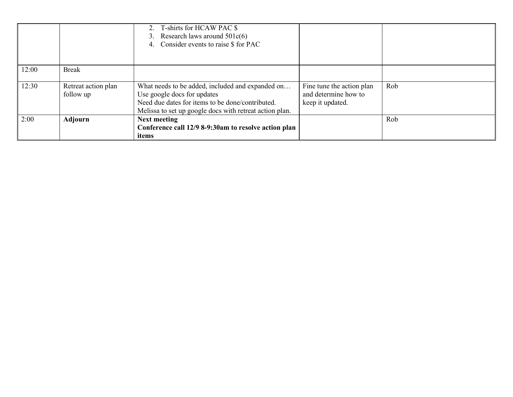|       |                                  | 2. T-shirts for HCAW PAC \$<br>Research laws around $501c(6)$<br>3.<br>4. Consider events to raise \$ for PAC                                                                                  |                                                                       |     |
|-------|----------------------------------|------------------------------------------------------------------------------------------------------------------------------------------------------------------------------------------------|-----------------------------------------------------------------------|-----|
| 12:00 | <b>Break</b>                     |                                                                                                                                                                                                |                                                                       |     |
| 12:30 | Retreat action plan<br>follow up | What needs to be added, included and expanded on<br>Use google docs for updates<br>Need due dates for items to be done/contributed.<br>Melissa to set up google docs with retreat action plan. | Fine tune the action plan<br>and determine how to<br>keep it updated. | Rob |
| 2:00  | Adjourn                          | <b>Next meeting</b><br>Conference call 12/9 8-9:30am to resolve action plan<br>items                                                                                                           |                                                                       | Rob |